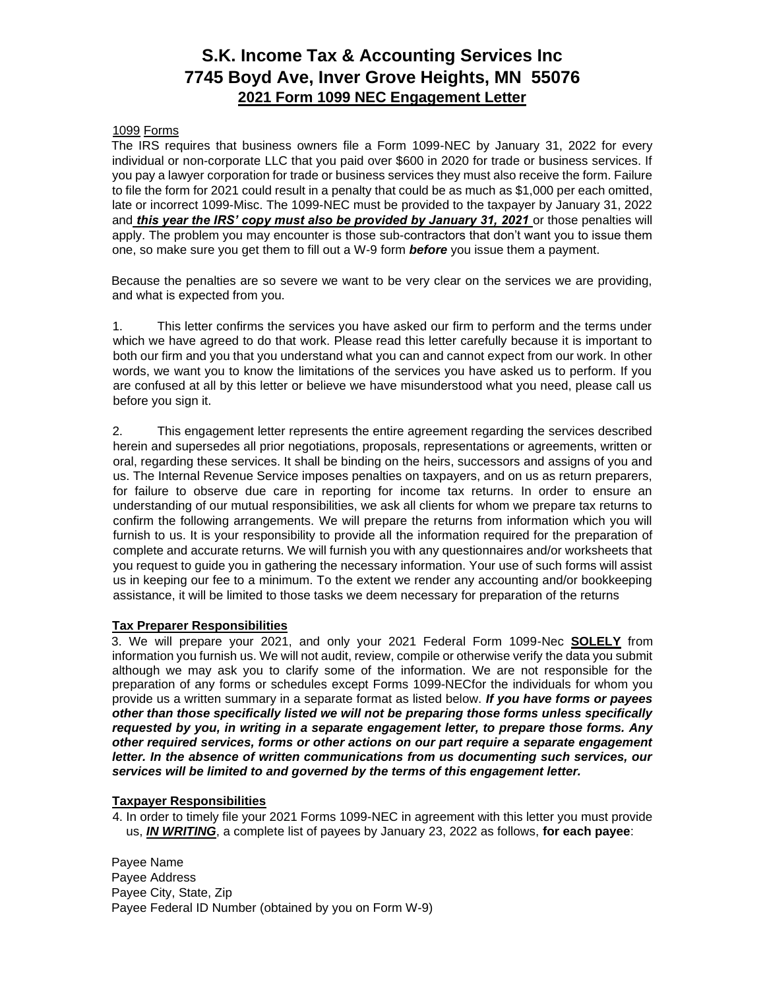## **S.K. Income Tax & Accounting Services Inc 7745 Boyd Ave, Inver Grove Heights, MN 55076 2021 Form 1099 NEC Engagement Letter**

### 1099 Forms

The IRS requires that business owners file a Form 1099-NEC by January 31, 2022 for every individual or non-corporate LLC that you paid over \$600 in 2020 for trade or business services. If you pay a lawyer corporation for trade or business services they must also receive the form. Failure to file the form for 2021 could result in a penalty that could be as much as \$1,000 per each omitted, late or incorrect 1099-Misc. The 1099-NEC must be provided to the taxpayer by January 31, 2022 and *this year the IRS' copy must also be provided by January 31, 2021* or those penalties will apply. The problem you may encounter is those sub-contractors that don't want you to issue them one, so make sure you get them to fill out a W-9 form *before* you issue them a payment.

Because the penalties are so severe we want to be very clear on the services we are providing, and what is expected from you.

1. This letter confirms the services you have asked our firm to perform and the terms under which we have agreed to do that work. Please read this letter carefully because it is important to both our firm and you that you understand what you can and cannot expect from our work. In other words, we want you to know the limitations of the services you have asked us to perform. If you are confused at all by this letter or believe we have misunderstood what you need, please call us before you sign it.

2. This engagement letter represents the entire agreement regarding the services described herein and supersedes all prior negotiations, proposals, representations or agreements, written or oral, regarding these services. It shall be binding on the heirs, successors and assigns of you and us. The Internal Revenue Service imposes penalties on taxpayers, and on us as return preparers, for failure to observe due care in reporting for income tax returns. In order to ensure an understanding of our mutual responsibilities, we ask all clients for whom we prepare tax returns to confirm the following arrangements. We will prepare the returns from information which you will furnish to us. It is your responsibility to provide all the information required for the preparation of complete and accurate returns. We will furnish you with any questionnaires and/or worksheets that you request to guide you in gathering the necessary information. Your use of such forms will assist us in keeping our fee to a minimum. To the extent we render any accounting and/or bookkeeping assistance, it will be limited to those tasks we deem necessary for preparation of the returns

### **Tax Preparer Responsibilities**

3. We will prepare your 2021, and only your 2021 Federal Form 1099-Nec **SOLELY** from information you furnish us. We will not audit, review, compile or otherwise verify the data you submit although we may ask you to clarify some of the information. We are not responsible for the preparation of any forms or schedules except Forms 1099-NECfor the individuals for whom you provide us a written summary in a separate format as listed below. *If you have forms or payees other than those specifically listed we will not be preparing those forms unless specifically requested by you, in writing in a separate engagement letter, to prepare those forms. Any other required services, forms or other actions on our part require a separate engagement letter. In the absence of written communications from us documenting such services, our services will be limited to and governed by the terms of this engagement letter.* 

### **Taxpayer Responsibilities**

4. In order to timely file your 2021 Forms 1099-NEC in agreement with this letter you must provide us, *IN WRITING*, a complete list of payees by January 23, 2022 as follows, **for each payee**:

Payee Name Payee Address Payee City, State, Zip Payee Federal ID Number (obtained by you on Form W-9)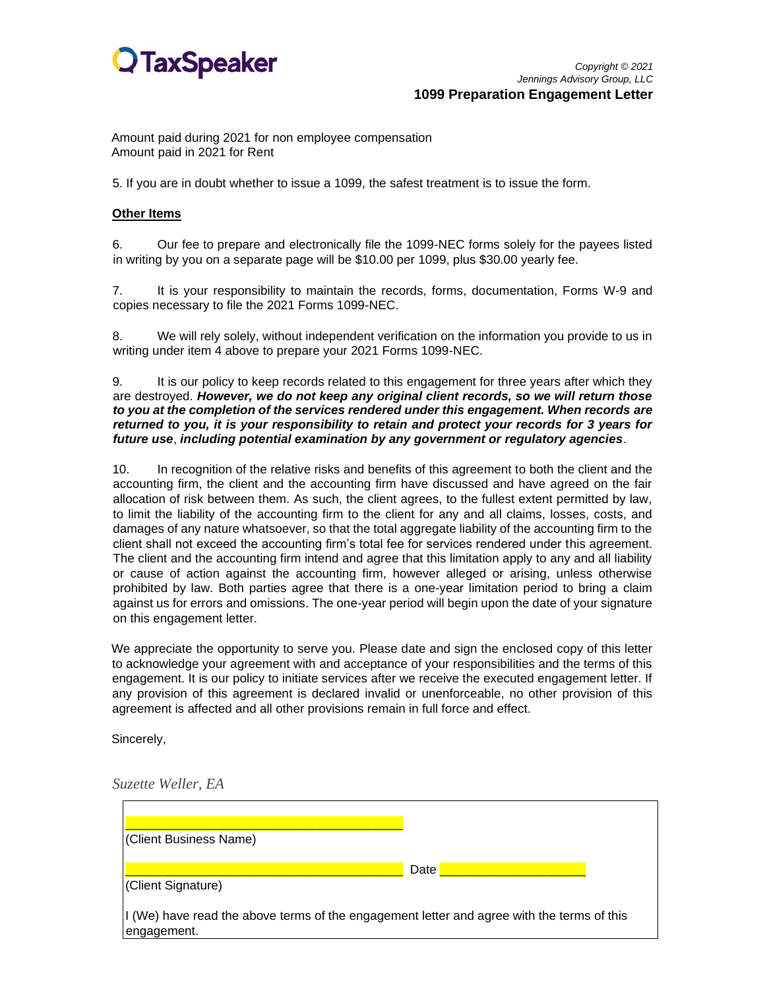

*Copyright © 2021 Jennings Advisory Group, LLC*  **1099 Preparation Engagement Letter** 

Amount paid during 2021 for non employee compensation Amount paid in 2021 for Rent

5. If you are in doubt whether to issue a 1099, the safest treatment is to issue the form.

#### **Other Items**

6. Our fee to prepare and electronically file the 1099-NEC forms solely for the payees listed in writing by you on a separate page will be \$10.00 per 1099, plus \$30.00 yearly fee.

7. It is your responsibility to maintain the records, forms, documentation, Forms W-9 and copies necessary to file the 2021 Forms 1099-NEC.

8. We will rely solely, without independent verification on the information you provide to us in writing under item 4 above to prepare your 2021 Forms 1099-NEC.

9. It is our policy to keep records related to this engagement for three years after which they are destroyed. *However, we do not keep any original client records, so we will return those to you at the completion of the services rendered under this engagement. When records are returned to you, it is your responsibility to retain and protect your records for 3 years for future use*, *including potential examination by any government or regulatory agencies*.

10. In recognition of the relative risks and benefits of this agreement to both the client and the accounting firm, the client and the accounting firm have discussed and have agreed on the fair allocation of risk between them. As such, the client agrees, to the fullest extent permitted by law, to limit the liability of the accounting firm to the client for any and all claims, losses, costs, and damages of any nature whatsoever, so that the total aggregate liability of the accounting firm to the client shall not exceed the accounting firm's total fee for services rendered under this agreement. The client and the accounting firm intend and agree that this limitation apply to any and all liability or cause of action against the accounting firm, however alleged or arising, unless otherwise prohibited by law. Both parties agree that there is a one-year limitation period to bring a claim against us for errors and omissions. The one-year period will begin upon the date of your signature on this engagement letter.

We appreciate the opportunity to serve you. Please date and sign the enclosed copy of this letter to acknowledge your agreement with and acceptance of your responsibilities and the terms of this engagement. It is our policy to initiate services after we receive the executed engagement letter. If any provision of this agreement is declared invalid or unenforceable, no other provision of this agreement is affected and all other provisions remain in full force and effect.

Sincerely,

*Suzette Weller, EA*

| (Client Business Name)                                                                                     |      |
|------------------------------------------------------------------------------------------------------------|------|
| (Client Signature)                                                                                         | Date |
| If (We) have read the above terms of the engagement letter and agree with the terms of this<br>engagement. |      |